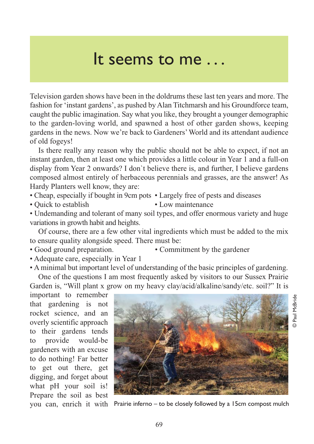## It seems to me . . .

Television garden shows have been in the doldrums these last ten years and more. The fashion for 'instant gardens', as pushed by Alan Titchmarsh and his Groundforce team, caught the public imagination. Say what you like, they brought a younger demographic to the garden-loving world, and spawned a host of other garden shows, keeping gardens in the news. Now we're back to Gardeners' World and its attendant audience of old fogeys!

Is there really any reason why the public should not be able to expect, if not an instant garden, then at least one which provides a little colour in Year 1 and a full-on display from Year 2 onwards? I don`t believe there is, and further, I believe gardens composed almost entirely of herbaceous perennials and grasses, are the answer! As Hardy Planters well know, they are:

• Cheap, especially if bought in 9cm pots • Largely free of pests and diseases

• Quick to establish • Low maintenance

• Undemanding and tolerant of many soil types, and offer enormous variety and huge variations in growth habit and heights.

Of course, there are a few other vital ingredients which must be added to the mix to ensure quality alongside speed. There must be:

- Good ground preparation. Commitment by the gardener
	-
- Adequate care, especially in Year 1
- A minimal but important level of understanding of the basic principles of gardening.

One of the questions I am most frequently asked by visitors to our Sussex Prairie Garden is, "Will plant x grow on my heavy clay/acid/alkaline/sandy/etc. soil?" It is

important to remember that gardening is not rocket science, and an overly scientific approach to their gardens tends to provide would-be gardeners with an excuse to do nothing! Far better to get out there, get digging, and forget about what pH your soil is! Prepare the soil as best



© Paul McBride Paul McBride

you can, enrich it with Prairie inferno – to be closely followed by a 15cm compost mulch